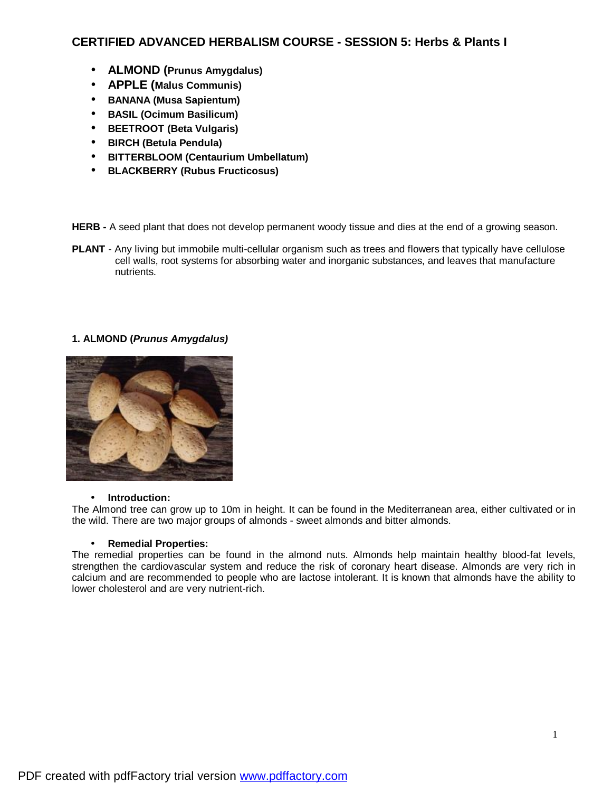# **CERTIFIED ADVANCED HERBALISM COURSE - SESSION 5: Herbs & Plants I**

- **ALMOND (Prunus Amygdalus)**
- **APPLE (Malus Communis)**
- **BANANA (Musa Sapientum)**
- **BASIL (Ocimum Basilicum)**
- **BEETROOT (Beta Vulgaris)**
- **BIRCH (Betula Pendula)**
- **BITTERBLOOM (Centaurium Umbellatum)**
- **BLACKBERRY (Rubus Fructicosus)**

**HERB -** A seed plant that does not develop permanent woody tissue and dies at the end of a growing season.

**PLANT** - Any living but immobile multi-cellular organism such as trees and flowers that typically have cellulose cell walls, root systems for absorbing water and inorganic substances, and leaves that manufacture nutrients.

# **1. ALMOND (***Prunus Amygdalus)*



### • **Introduction:**

The Almond tree can grow up to 10m in height. It can be found in the Mediterranean area, either cultivated or in the wild. There are two major groups of almonds - sweet almonds and bitter almonds.

### • **Remedial Properties:**

The remedial properties can be found in the almond nuts. Almonds help maintain healthy blood-fat levels, strengthen the cardiovascular system and reduce the risk of coronary heart disease. Almonds are very rich in calcium and are recommended to people who are lactose intolerant. It is known that almonds have the ability to lower cholesterol and are very nutrient-rich.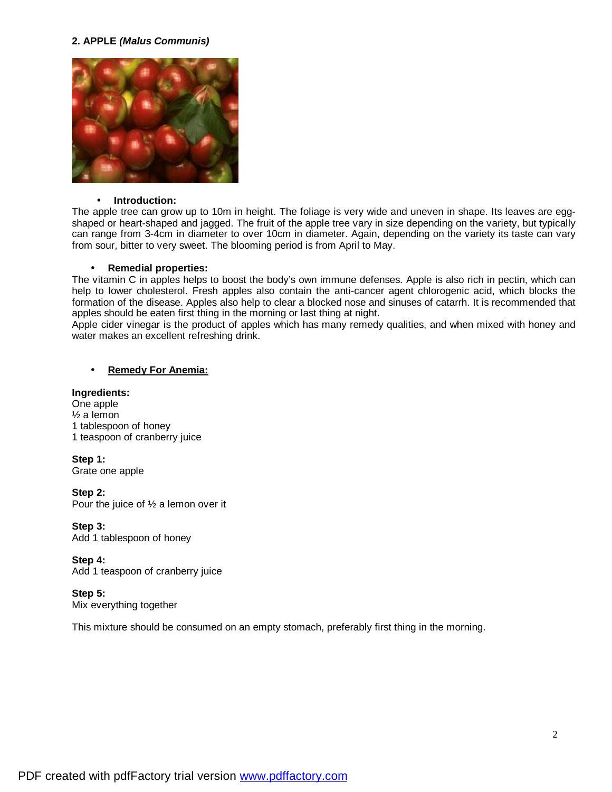## **2. APPLE** *(Malus Communis)*



#### • **Introduction:**

The apple tree can grow up to 10m in height. The foliage is very wide and uneven in shape. Its leaves are eggshaped or heart-shaped and jagged. The fruit of the apple tree vary in size depending on the variety, but typically can range from 3-4cm in diameter to over 10cm in diameter. Again, depending on the variety its taste can vary from sour, bitter to very sweet. The blooming period is from April to May.

#### • **Remedial properties:**

The vitamin C in apples helps to boost the body's own immune defenses. Apple is also rich in pectin, which can help to lower cholesterol. Fresh apples also contain the anti-cancer agent chlorogenic acid, which blocks the formation of the disease. Apples also help to clear a blocked nose and sinuses of catarrh. It is recommended that apples should be eaten first thing in the morning or last thing at night.

Apple cider vinegar is the product of apples which has many remedy qualities, and when mixed with honey and water makes an excellent refreshing drink.

# • **Remedy For Anemia:**

## **Ingredients:**

One apple ½ a lemon 1 tablespoon of honey 1 teaspoon of cranberry juice

**Step 1:**  Grate one apple

**Step 2:**  Pour the juice of ½ a lemon over it

**Step 3:**  Add 1 tablespoon of honey

**Step 4:**  Add 1 teaspoon of cranberry juice

**Step 5:** 

Mix everything together

This mixture should be consumed on an empty stomach, preferably first thing in the morning.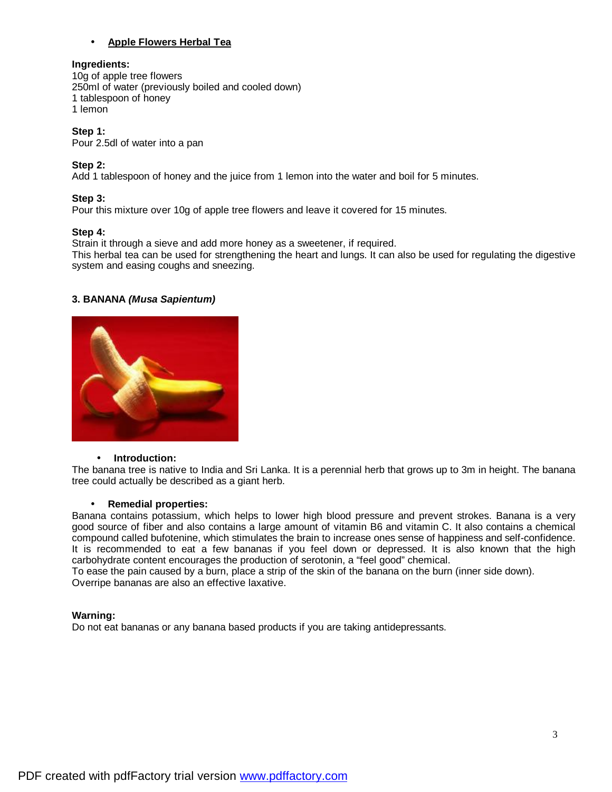# • **Apple Flowers Herbal Tea**

## **Ingredients:**

10g of apple tree flowers 250ml of water (previously boiled and cooled down) 1 tablespoon of honey 1 lemon

# **Step 1:**

Pour 2.5dl of water into a pan

# **Step 2:**

Add 1 tablespoon of honey and the juice from 1 lemon into the water and boil for 5 minutes.

# **Step 3:**

Pour this mixture over 10g of apple tree flowers and leave it covered for 15 minutes.

### **Step 4:**

Strain it through a sieve and add more honey as a sweetener, if required.

This herbal tea can be used for strengthening the heart and lungs. It can also be used for regulating the digestive system and easing coughs and sneezing.

### **3. BANANA** *(Musa Sapientum)*



#### • **Introduction:**

The banana tree is native to India and Sri Lanka. It is a perennial herb that grows up to 3m in height. The banana tree could actually be described as a giant herb.

### • **Remedial properties:**

Banana contains potassium, which helps to lower high blood pressure and prevent strokes. Banana is a very good source of fiber and also contains a large amount of vitamin B6 and vitamin C. It also contains a chemical compound called bufotenine, which stimulates the brain to increase ones sense of happiness and self-confidence. It is recommended to eat a few bananas if you feel down or depressed. It is also known that the high carbohydrate content encourages the production of serotonin, a "feel good" chemical.

To ease the pain caused by a burn, place a strip of the skin of the banana on the burn (inner side down). Overripe bananas are also an effective laxative.

### **Warning:**

Do not eat bananas or any banana based products if you are taking antidepressants.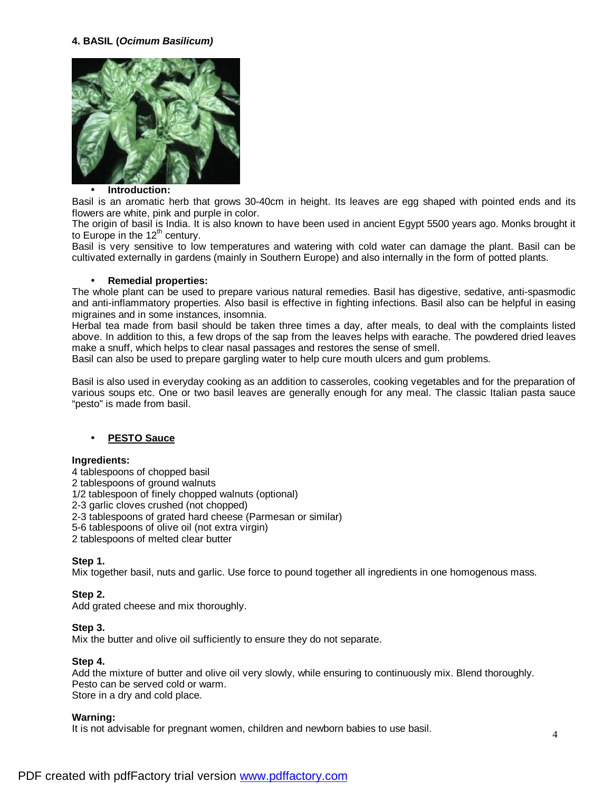### **4. BASIL (***Ocimum Basilicum)*



#### • **Introduction:**

Basil is an aromatic herb that grows 30-40cm in height. Its leaves are egg shaped with pointed ends and its flowers are white, pink and purple in color.

The origin of basil is India. It is also known to have been used in ancient Egypt 5500 years ago. Monks brought it to Europe in the  $12<sup>th</sup>$  century.

Basil is very sensitive to low temperatures and watering with cold water can damage the plant. Basil can be cultivated externally in gardens (mainly in Southern Europe) and also internally in the form of potted plants.

#### • **Remedial properties:**

The whole plant can be used to prepare various natural remedies. Basil has digestive, sedative, anti-spasmodic and anti-inflammatory properties. Also basil is effective in fighting infections. Basil also can be helpful in easing migraines and in some instances, insomnia.

Herbal tea made from basil should be taken three times a day, after meals, to deal with the complaints listed above. In addition to this, a few drops of the sap from the leaves helps with earache. The powdered dried leaves make a snuff, which helps to clear nasal passages and restores the sense of smell.

Basil can also be used to prepare gargling water to help cure mouth ulcers and gum problems.

Basil is also used in everyday cooking as an addition to casseroles, cooking vegetables and for the preparation of various soups etc. One or two basil leaves are generally enough for any meal. The classic Italian pasta sauce "pesto" is made from basil.

### • **PESTO Sauce**

### **Ingredients:**

4 tablespoons of chopped basil 2 tablespoons of ground walnuts 1/2 tablespoon of finely chopped walnuts (optional) 2-3 garlic cloves crushed (not chopped) 2-3 tablespoons of grated hard cheese (Parmesan or similar) 5-6 tablespoons of olive oil (not extra virgin)

2 tablespoons of melted clear butter

### **Step 1.**

Mix together basil, nuts and garlic. Use force to pound together all ingredients in one homogenous mass.

### **Step 2.**

Add grated cheese and mix thoroughly.

### **Step 3.**

Mix the butter and olive oil sufficiently to ensure they do not separate.

### **Step 4.**

Add the mixture of butter and olive oil very slowly, while ensuring to continuously mix. Blend thoroughly. Pesto can be served cold or warm. Store in a dry and cold place.

### **Warning:**

It is not advisable for pregnant women, children and newborn babies to use basil.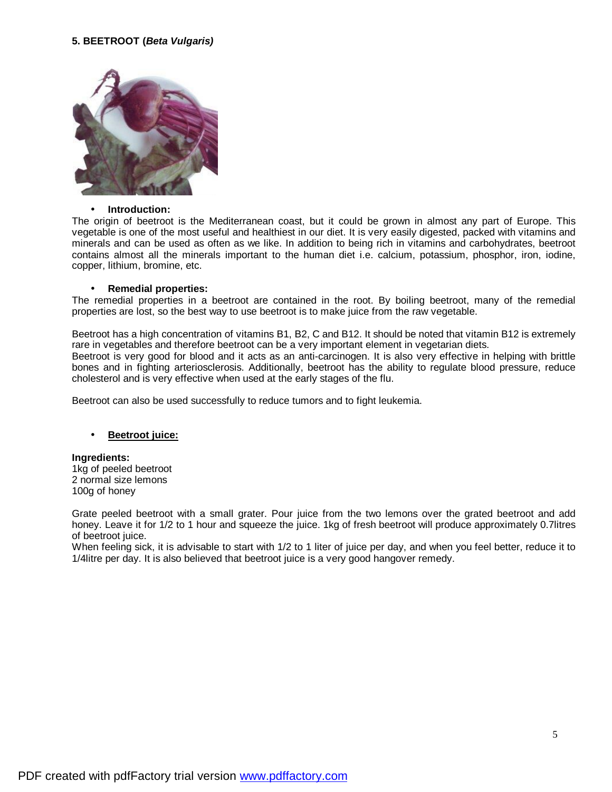# **5. BEETROOT (***Beta Vulgaris)*



#### • **Introduction:**

The origin of beetroot is the Mediterranean coast, but it could be grown in almost any part of Europe. This vegetable is one of the most useful and healthiest in our diet. It is very easily digested, packed with vitamins and minerals and can be used as often as we like. In addition to being rich in vitamins and carbohydrates, beetroot contains almost all the minerals important to the human diet i.e. calcium, potassium, phosphor, iron, iodine, copper, lithium, bromine, etc.

#### • **Remedial properties:**

The remedial properties in a beetroot are contained in the root. By boiling beetroot, many of the remedial properties are lost, so the best way to use beetroot is to make juice from the raw vegetable.

Beetroot has a high concentration of vitamins B1, B2, C and B12. It should be noted that vitamin B12 is extremely rare in vegetables and therefore beetroot can be a very important element in vegetarian diets.

Beetroot is very good for blood and it acts as an anti-carcinogen. It is also very effective in helping with brittle bones and in fighting arteriosclerosis. Additionally, beetroot has the ability to regulate blood pressure, reduce cholesterol and is very effective when used at the early stages of the flu.

Beetroot can also be used successfully to reduce tumors and to fight leukemia.

### • **Beetroot juice:**

## **Ingredients:**  1kg of peeled beetroot

2 normal size lemons 100g of honey

Grate peeled beetroot with a small grater. Pour juice from the two lemons over the grated beetroot and add honey. Leave it for 1/2 to 1 hour and squeeze the juice. 1kg of fresh beetroot will produce approximately 0.7litres of beetroot juice.

When feeling sick, it is advisable to start with 1/2 to 1 liter of juice per day, and when you feel better, reduce it to 1/4litre per day. It is also believed that beetroot juice is a very good hangover remedy.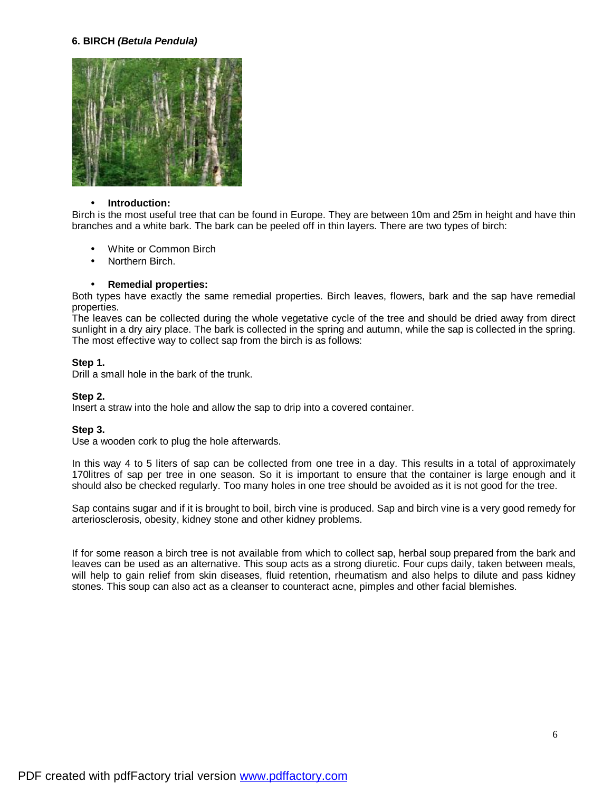#### **6. BIRCH** *(Betula Pendula)*



#### • **Introduction:**

Birch is the most useful tree that can be found in Europe. They are between 10m and 25m in height and have thin branches and a white bark. The bark can be peeled off in thin layers. There are two types of birch:

- White or Common Birch
- Northern Birch.

#### • **Remedial properties:**

Both types have exactly the same remedial properties. Birch leaves, flowers, bark and the sap have remedial properties.

The leaves can be collected during the whole vegetative cycle of the tree and should be dried away from direct sunlight in a dry airy place. The bark is collected in the spring and autumn, while the sap is collected in the spring. The most effective way to collect sap from the birch is as follows:

#### **Step 1.**

Drill a small hole in the bark of the trunk.

#### **Step 2.**

Insert a straw into the hole and allow the sap to drip into a covered container.

#### **Step 3.**

Use a wooden cork to plug the hole afterwards.

In this way 4 to 5 liters of sap can be collected from one tree in a day. This results in a total of approximately 170litres of sap per tree in one season. So it is important to ensure that the container is large enough and it should also be checked regularly. Too many holes in one tree should be avoided as it is not good for the tree.

Sap contains sugar and if it is brought to boil, birch vine is produced. Sap and birch vine is a very good remedy for arteriosclerosis, obesity, kidney stone and other kidney problems.

If for some reason a birch tree is not available from which to collect sap, herbal soup prepared from the bark and leaves can be used as an alternative. This soup acts as a strong diuretic. Four cups daily, taken between meals, will help to gain relief from skin diseases, fluid retention, rheumatism and also helps to dilute and pass kidney stones. This soup can also act as a cleanser to counteract acne, pimples and other facial blemishes.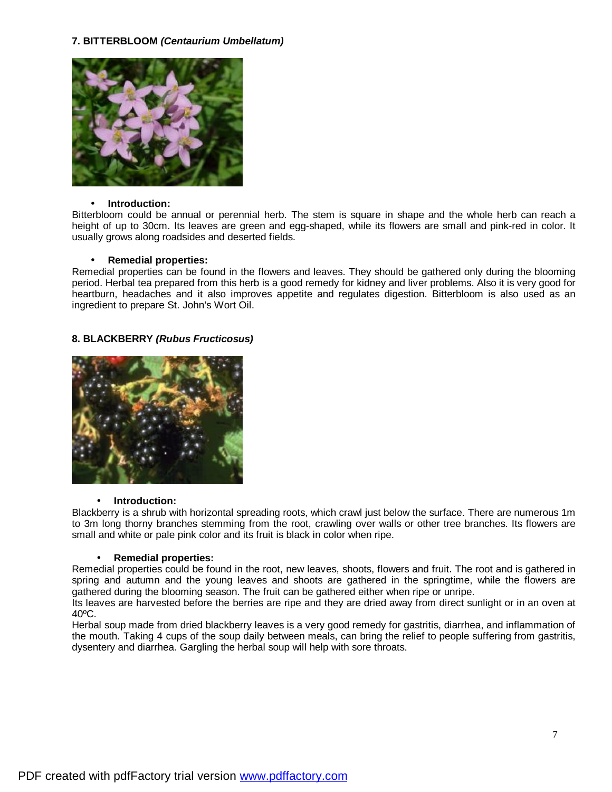# **7. BITTERBLOOM** *(Centaurium Umbellatum)*



### • **Introduction:**

Bitterbloom could be annual or perennial herb. The stem is square in shape and the whole herb can reach a height of up to 30cm. Its leaves are green and egg-shaped, while its flowers are small and pink-red in color. It usually grows along roadsides and deserted fields.

# • **Remedial properties:**

Remedial properties can be found in the flowers and leaves. They should be gathered only during the blooming period. Herbal tea prepared from this herb is a good remedy for kidney and liver problems. Also it is very good for heartburn, headaches and it also improves appetite and regulates digestion. Bitterbloom is also used as an ingredient to prepare St. John's Wort Oil.

# **8. BLACKBERRY** *(Rubus Fructicosus)*



### • **Introduction:**

Blackberry is a shrub with horizontal spreading roots, which crawl just below the surface. There are numerous 1m to 3m long thorny branches stemming from the root, crawling over walls or other tree branches. Its flowers are small and white or pale pink color and its fruit is black in color when ripe.

### • **Remedial properties:**

Remedial properties could be found in the root, new leaves, shoots, flowers and fruit. The root and is gathered in spring and autumn and the young leaves and shoots are gathered in the springtime, while the flowers are gathered during the blooming season. The fruit can be gathered either when ripe or unripe.

Its leaves are harvested before the berries are ripe and they are dried away from direct sunlight or in an oven at 40ºC.

Herbal soup made from dried blackberry leaves is a very good remedy for gastritis, diarrhea, and inflammation of the mouth. Taking 4 cups of the soup daily between meals, can bring the relief to people suffering from gastritis, dysentery and diarrhea. Gargling the herbal soup will help with sore throats.